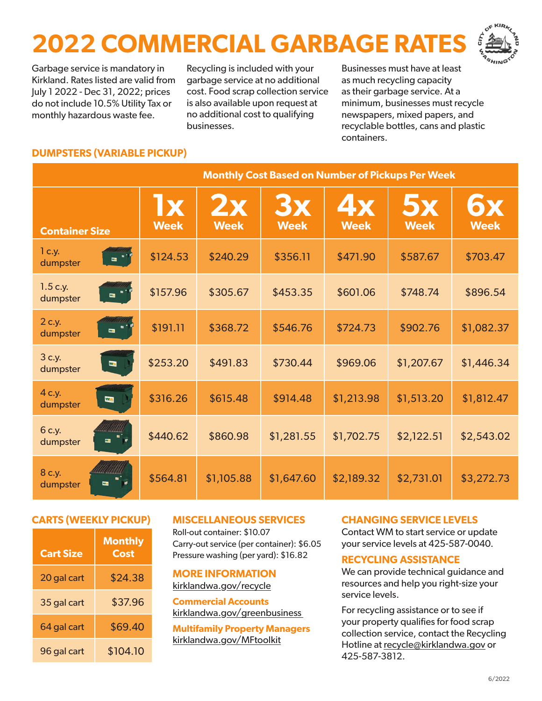# **2022 COMMERCIAL GARBAGE RATES**



Garbage service is mandatory in Kirkland. Rates listed are valid from July 1 2022 - Dec 31, 2022; prices do not include 10.5% Utility Tax or monthly hazardous waste fee.

Recycling is included with your garbage service at no additional cost. Food scrap collection service is also available upon request at no additional cost to qualifying businesses.

Businesses must have at least as much recycling capacity as their garbage service. At a minimum, businesses must recycle newspapers, mixed papers, and recyclable bottles, cans and plastic containers.

### **DUMPSTERS (VARIABLE PICKUP)**

|                                                     | <b>Monthly Cost Based on Number of Pickups Per Week</b> |                   |                          |                          |                          |                          |
|-----------------------------------------------------|---------------------------------------------------------|-------------------|--------------------------|--------------------------|--------------------------|--------------------------|
| <b>Container Size</b>                               | <b>Ix</b><br><b>Week</b>                                | 2x<br><b>Week</b> | <b>Bx</b><br><b>Week</b> | <b>4x</b><br><b>Week</b> | <b>5x</b><br><b>Week</b> | <b>6x</b><br><b>Week</b> |
| 1 c.y.<br>$\mathbf{m}$<br>dumpster                  | \$124.53                                                | \$240.29          | \$356.11                 | \$471.90                 | \$587.67                 | \$703.47                 |
| $1.5$ c.y.<br>解す<br>$\blacksquare$<br>dumpster      | \$157.96                                                | \$305.67          | \$453.35                 | \$601.06                 | \$748.74                 | \$896.54                 |
| 2 c.y.<br>н.<br>$\overline{\mathbf{a}}$<br>dumpster | \$191.11                                                | \$368.72          | \$546.76                 | \$724.73                 | \$902.76                 | \$1,082.37               |
| 3 c.y.<br><b>MM</b><br>dumpster                     | \$253.20                                                | \$491.83          | \$730.44                 | \$969.06                 | \$1,207.67               | \$1,446.34               |
| 4 c.y.<br>Van<br>dumpster                           | \$316.26                                                | \$615.48          | \$914.48                 | \$1,213.98               | \$1,513.20               | \$1,812.47               |
| 6 c.y.<br>٠<br>$\blacksquare$<br>dumpster           | \$440.62                                                | \$860.98          | \$1,281.55               | \$1,702.75               | \$2,122.51               | \$2,543.02               |
| 8 c.y.<br>$\overline{\phantom{a}}$<br>dumpster      | \$564.81                                                | \$1,105.88        | \$1,647.60               | \$2,189.32               | \$2,731.01               | \$3,272.73               |

#### **CARTS (WEEKLY PICKUP)**

| <b>Cart Size</b> | <b>Monthly</b><br>Cost |
|------------------|------------------------|
| 20 gal cart      | \$24.38                |
| 35 gal cart      | \$37.96                |
| 64 gal cart      | \$69.40                |
| 96 gal cart      | \$104.10               |

#### **MISCELLANEOUS SERVICES**

Roll-out container: \$10.07 Carry-out service (per container): \$6.05 Pressure washing (per yard): \$16.82

#### **MORE INFORMATION** [kirklandwa.gov/recycle](http://kirklandwa.gov/recycle)

**Commercial Accounts** [kirklandwa.gov/greenbusiness](http://kirklandwa.gov/greenbusiness)

**Multifamily Property Managers** [kirklandwa.gov/MFtoolkit](http://kirklandwa.gov/MFtoolkit)

#### **CHANGING SERVICE LEVELS**

Contact WM to start service or update your service levels at 425-587-0040.

#### **RECYCLING ASSISTANCE**

We can provide technical guidance and resources and help you right-size your service levels.

For recycling assistance or to see if your property qualifies for food scrap collection service, contact the Recycling Hotline at [recycle@kirklandwa.gov](mailto:recycle%40kirklandwa.gov?subject=Business%20Recycling%20Assistance) or 425-587-3812.